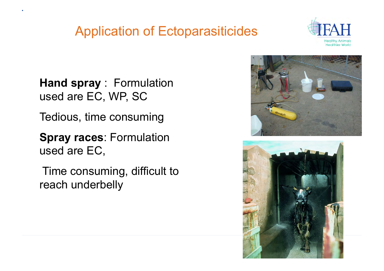

**Hand spray** : Formulation used are EC, WP, SC

Tedious, time consuming

**Spray races**: Formulation used are EC,

 Time consuming, difficult to reach underbelly



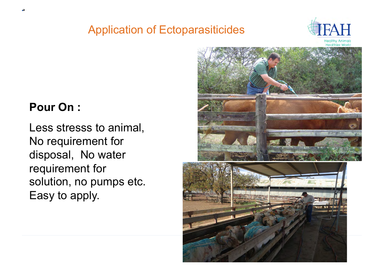

**Healthier World** 

#### **Pour On :**

Less stresss to animal, No requirement for disposal, No water requirement for solution, no pumps etc. Easy to apply.

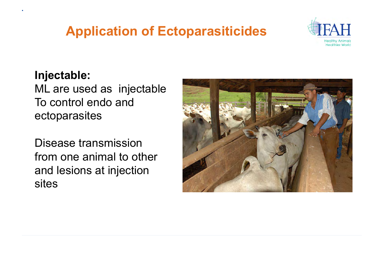

#### **Injectable:**

ML are used as injectable To control endo and ectoparasites

Disease transmission from one animal to other and lesions at injection sites

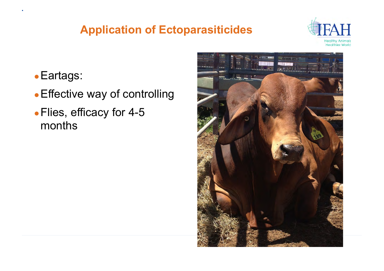

- ●Eartags:
- Effective way of controlling
- ●Flies, efficacy for 4-5 months

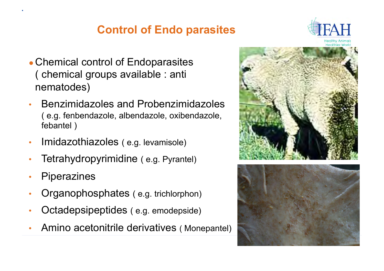

- Chemical control of Endoparasites ( chemical groups available : anti nematodes)
- Benzimidazoles and Probenzimidazoles ( e.g. fenbendazole, albendazole, oxibendazole, febantel )
- Imidazothiazoles (e.g. levamisole)
- Tetrahydropyrimidine ( e.g. Pyrantel)
- **Piperazines**
- Organophosphates ( e.g. trichlorphon)
- Octadepsipeptides ( e.g. emodepside)
- Amino acetonitrile derivatives ( Monepantel)



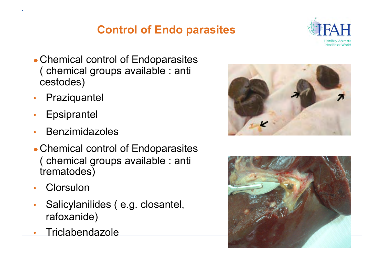

- Chemical control of Endoparasites ( chemical groups available : anti cestodes)
- Praziquantel
- Epsiprantel
- Benzimidazoles
- Chemical control of Endoparasites ( chemical groups available : anti trematodes)
- Clorsulon
- Salicylanilides ( e.g. closantel, rafoxanide)
- Triclabendazole



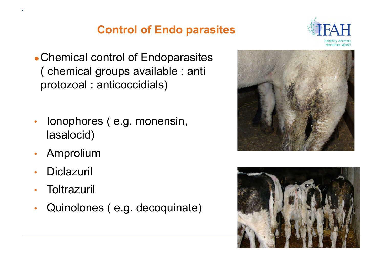

- Chemical control of Endoparasites ( chemical groups available : anti protozoal : anticoccidials)
- Ionophores (e.g. monensin, lasalocid)
- Amprolium
- **Diclazuril**
- **Toltrazuril**
- Quinolones ( e.g. decoquinate)



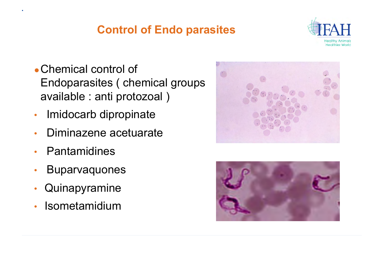

- Chemical control of Endoparasites ( chemical groups available : anti protozoal )
- Imidocarb dipropinate
- Diminazene acetuarate
- **Pantamidines**
- Buparvaquones
- **Quinapyramine**
- **Isometamidium**



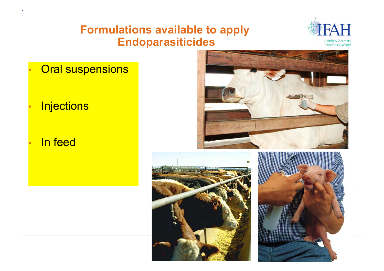### **Formulations available to apply Endoparasiticides**



**Oral suspensions** 

### **Injections**

#### In feed





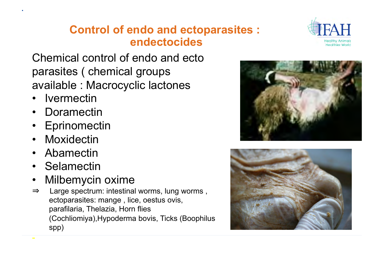## **Control of endo and ectoparasites : endectocides**

Chemical control of endo and ecto parasites ( chemical groups available : Macrocyclic lactones

- **Ivermectin**
- Doramectin
- Eprinomectin
- Moxidectin
- Abamectin
- Selamectin
- Milbemycin oxime
- ⇒ Large spectrum: intestinal worms, lung worms , ectoparasites: mange , lice, oestus ovis, parafilaria, Thelazia, Horn flies (Cochliomiya),Hypoderma bovis, Ticks (Boophilus spp) -





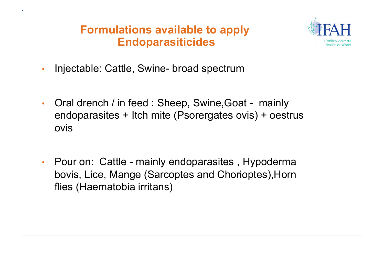## **Formulations available to apply Endoparasiticides**



- Injectable: Cattle, Swine- broad spectrum
- Oral drench / in feed : Sheep, Swine, Goat mainly endoparasites + Itch mite (Psorergates ovis) + oestrus ovis
- Pour on: Cattle mainly endoparasites, Hypoderma bovis, Lice, Mange (Sarcoptes and Chorioptes),Horn flies (Haematobia irritans)